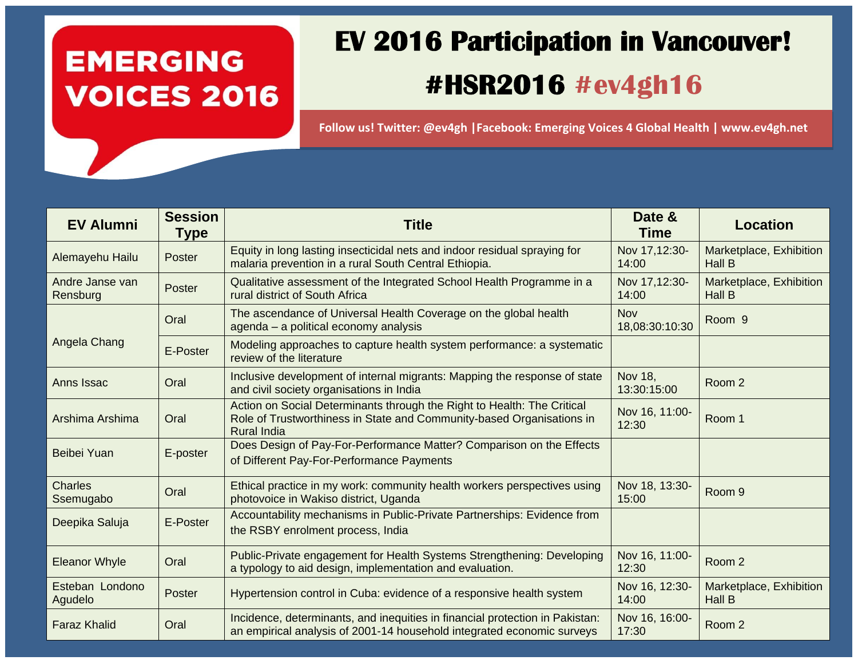#### **EMERGING VOICES 2016**

### **EV 2016 Participation in Vancouver! #HSR2016 #ev4gh16**

**Follow us! Twitter: @ev4gh |Facebook: Emerging Voices 4 Global Health | www.ev4gh.net** 

| <b>EV Alumni</b>            | <b>Session</b><br><b>Type</b> | <b>Title</b>                                                                                                                                                           | Date &<br><b>Time</b>        | <b>Location</b>                          |
|-----------------------------|-------------------------------|------------------------------------------------------------------------------------------------------------------------------------------------------------------------|------------------------------|------------------------------------------|
| Alemayehu Hailu             | Poster                        | Equity in long lasting insecticidal nets and indoor residual spraying for<br>malaria prevention in a rural South Central Ethiopia.                                     | Nov 17,12:30-<br>14:00       | Marketplace, Exhibition<br><b>Hall B</b> |
| Andre Janse van<br>Rensburg | Poster                        | Qualitative assessment of the Integrated School Health Programme in a<br>rural district of South Africa                                                                | Nov 17,12:30-<br>14:00       | Marketplace, Exhibition<br><b>Hall B</b> |
| Angela Chang                | Oral                          | The ascendance of Universal Health Coverage on the global health<br>agenda - a political economy analysis                                                              | <b>Nov</b><br>18,08:30:10:30 | Room <sub>9</sub>                        |
|                             | E-Poster                      | Modeling approaches to capture health system performance: a systematic<br>review of the literature                                                                     |                              |                                          |
| Anns Issac                  | Oral                          | Inclusive development of internal migrants: Mapping the response of state<br>and civil society organisations in India                                                  | Nov 18,<br>13:30:15:00       | Room 2                                   |
| Arshima Arshima             | Oral                          | Action on Social Determinants through the Right to Health: The Critical<br>Role of Trustworthiness in State and Community-based Organisations in<br><b>Rural India</b> | Nov 16, 11:00-<br>12:30      | Room 1                                   |
| Beibei Yuan                 | E-poster                      | Does Design of Pay-For-Performance Matter? Comparison on the Effects<br>of Different Pay-For-Performance Payments                                                      |                              |                                          |
| <b>Charles</b><br>Ssemugabo | Oral                          | Ethical practice in my work: community health workers perspectives using<br>photovoice in Wakiso district, Uganda                                                      | Nov 18, 13:30-<br>15:00      | Room <sub>9</sub>                        |
| Deepika Saluja              | E-Poster                      | Accountability mechanisms in Public-Private Partnerships: Evidence from<br>the RSBY enrolment process, India                                                           |                              |                                          |
| <b>Eleanor Whyle</b>        | Oral                          | Public-Private engagement for Health Systems Strengthening: Developing<br>a typology to aid design, implementation and evaluation.                                     | Nov 16, 11:00-<br>12:30      | Room 2                                   |
| Esteban Londono<br>Agudelo  | Poster                        | Hypertension control in Cuba: evidence of a responsive health system                                                                                                   | Nov 16, 12:30-<br>14:00      | Marketplace, Exhibition<br>Hall B        |
| <b>Faraz Khalid</b>         | Oral                          | Incidence, determinants, and inequities in financial protection in Pakistan:<br>an empirical analysis of 2001-14 household integrated economic surveys                 | Nov 16, 16:00-<br>17:30      | Room 2                                   |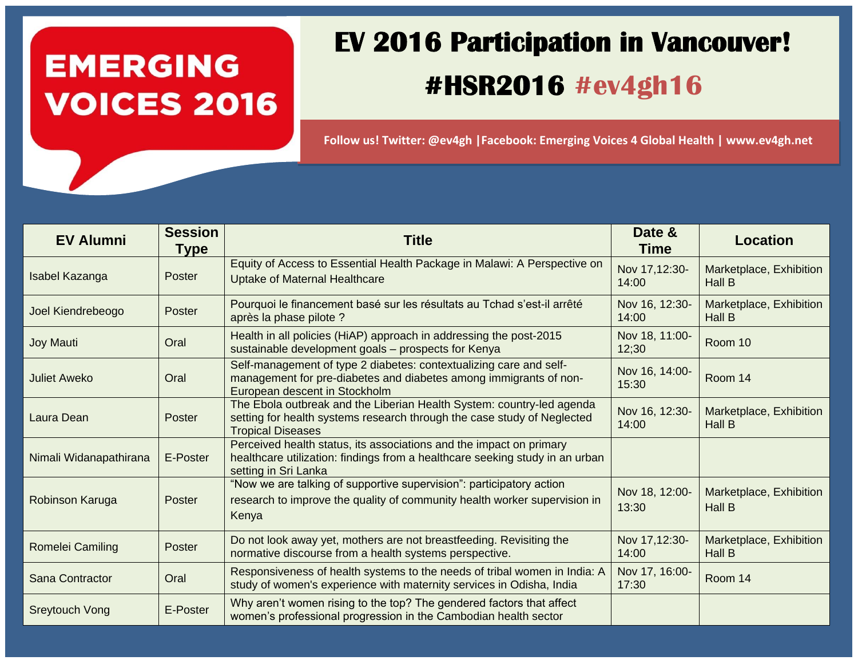## **EMERGING VOICES 2016**

### **EV 2016 Participation in Vancouver! #HSR2016 #ev4gh16**

**Follow us! Twitter: @ev4gh |Facebook: Emerging Voices 4 Global Health | www.ev4gh.net** 

| <b>EV Alumni</b>       | <b>Session</b><br><b>Type</b> | <b>Title</b>                                                                                                                                                                 | Date &<br><b>Time</b>   | <b>Location</b>                          |
|------------------------|-------------------------------|------------------------------------------------------------------------------------------------------------------------------------------------------------------------------|-------------------------|------------------------------------------|
| Isabel Kazanga         | Poster                        | Equity of Access to Essential Health Package in Malawi: A Perspective on<br><b>Uptake of Maternal Healthcare</b>                                                             | Nov 17,12:30-<br>14:00  | Marketplace, Exhibition<br>Hall B        |
| Joel Kiendrebeogo      | Poster                        | Pourquoi le financement basé sur les résultats au Tchad s'est-il arrêté<br>après la phase pilote ?                                                                           | Nov 16, 12:30-<br>14:00 | Marketplace, Exhibition<br>Hall B        |
| Joy Mauti              | Oral                          | Health in all policies (HiAP) approach in addressing the post-2015<br>sustainable development goals - prospects for Kenya                                                    | Nov 18, 11:00-<br>12;30 | Room 10                                  |
| <b>Juliet Aweko</b>    | Oral                          | Self-management of type 2 diabetes: contextualizing care and self-<br>management for pre-diabetes and diabetes among immigrants of non-<br>European descent in Stockholm     | Nov 16, 14:00-<br>15:30 | Room 14                                  |
| Laura Dean             | Poster                        | The Ebola outbreak and the Liberian Health System: country-led agenda<br>setting for health systems research through the case study of Neglected<br><b>Tropical Diseases</b> | Nov 16, 12:30-<br>14:00 | Marketplace, Exhibition<br>Hall B        |
| Nimali Widanapathirana | E-Poster                      | Perceived health status, its associations and the impact on primary<br>healthcare utilization: findings from a healthcare seeking study in an urban<br>setting in Sri Lanka  |                         |                                          |
| Robinson Karuga        | Poster                        | "Now we are talking of supportive supervision": participatory action<br>research to improve the quality of community health worker supervision in<br>Kenya                   | Nov 18, 12:00-<br>13:30 | Marketplace, Exhibition<br><b>Hall B</b> |
| Romelei Camiling       | Poster                        | Do not look away yet, mothers are not breastfeeding. Revisiting the<br>normative discourse from a health systems perspective.                                                | Nov 17,12:30-<br>14:00  | Marketplace, Exhibition<br>Hall B        |
| Sana Contractor        | Oral                          | Responsiveness of health systems to the needs of tribal women in India: A<br>study of women's experience with maternity services in Odisha, India                            | Nov 17, 16:00-<br>17:30 | Room 14                                  |
| <b>Sreytouch Vong</b>  | E-Poster                      | Why aren't women rising to the top? The gendered factors that affect<br>women's professional progression in the Cambodian health sector                                      |                         |                                          |